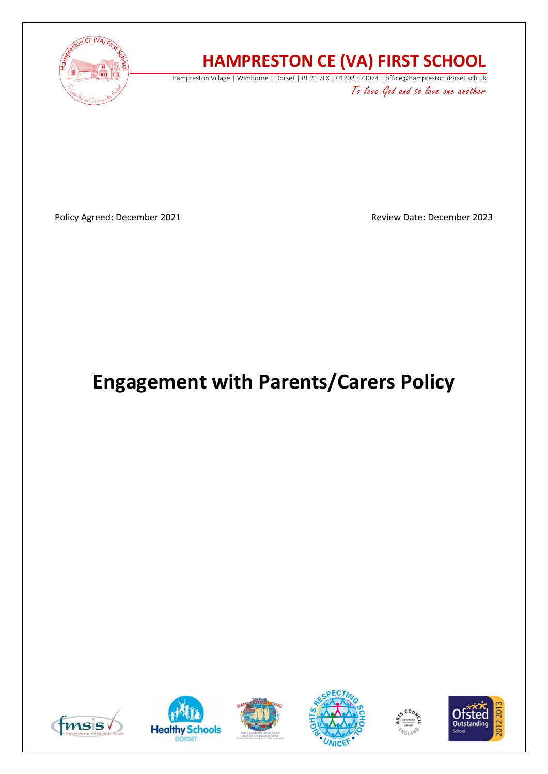

# **HAMPRESTON CE (VA) FIRST SCHOOL**

Hampreston Village | Wimborne | Dorset | BH21 7LX | 01202 573074 | office@hampreston.dorset.sch.uk To love God and to love one another

Policy Agreed: December 2021 **Review Date: December 2023** Review Date: December 2023

# **Engagement with Parents/Carers Policy**











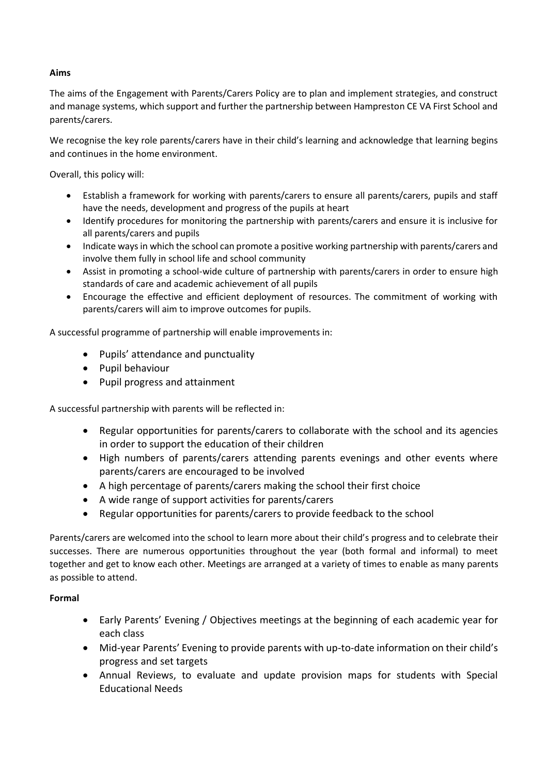# **Aims**

The aims of the Engagement with Parents/Carers Policy are to plan and implement strategies, and construct and manage systems, which support and further the partnership between Hampreston CE VA First School and parents/carers.

We recognise the key role parents/carers have in their child's learning and acknowledge that learning begins and continues in the home environment.

Overall, this policy will:

- Establish a framework for working with parents/carers to ensure all parents/carers, pupils and staff have the needs, development and progress of the pupils at heart
- Identify procedures for monitoring the partnership with parents/carers and ensure it is inclusive for all parents/carers and pupils
- Indicate ways in which the school can promote a positive working partnership with parents/carers and involve them fully in school life and school community
- Assist in promoting a school-wide culture of partnership with parents/carers in order to ensure high standards of care and academic achievement of all pupils
- Encourage the effective and efficient deployment of resources. The commitment of working with parents/carers will aim to improve outcomes for pupils.

A successful programme of partnership will enable improvements in:

- Pupils' attendance and punctuality
- Pupil behaviour
- Pupil progress and attainment

A successful partnership with parents will be reflected in:

- Regular opportunities for parents/carers to collaborate with the school and its agencies in order to support the education of their children
- High numbers of parents/carers attending parents evenings and other events where parents/carers are encouraged to be involved
- A high percentage of parents/carers making the school their first choice
- A wide range of support activities for parents/carers
- Regular opportunities for parents/carers to provide feedback to the school

Parents/carers are welcomed into the school to learn more about their child's progress and to celebrate their successes. There are numerous opportunities throughout the year (both formal and informal) to meet together and get to know each other. Meetings are arranged at a variety of times to enable as many parents as possible to attend.

# **Formal**

- Early Parents' Evening / Objectives meetings at the beginning of each academic year for each class
- Mid-year Parents' Evening to provide parents with up-to-date information on their child's progress and set targets
- Annual Reviews, to evaluate and update provision maps for students with Special Educational Needs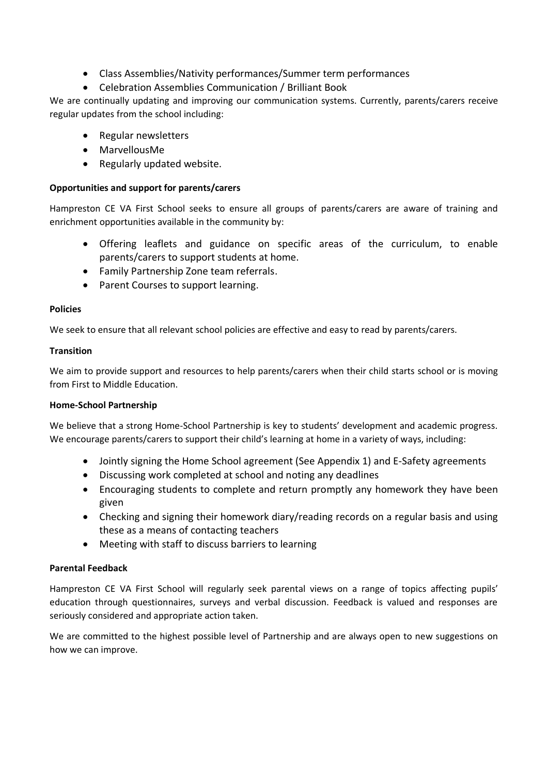- Class Assemblies/Nativity performances/Summer term performances
- Celebration Assemblies Communication / Brilliant Book

We are continually updating and improving our communication systems. Currently, parents/carers receive regular updates from the school including:

- Regular newsletters
- MarvellousMe
- Regularly updated website.

# **Opportunities and support for parents/carers**

Hampreston CE VA First School seeks to ensure all groups of parents/carers are aware of training and enrichment opportunities available in the community by:

- Offering leaflets and guidance on specific areas of the curriculum, to enable parents/carers to support students at home.
- Family Partnership Zone team referrals.
- Parent Courses to support learning.

# **Policies**

We seek to ensure that all relevant school policies are effective and easy to read by parents/carers.

# **Transition**

We aim to provide support and resources to help parents/carers when their child starts school or is moving from First to Middle Education.

### **Home-School Partnership**

We believe that a strong Home-School Partnership is key to students' development and academic progress. We encourage parents/carers to support their child's learning at home in a variety of ways, including:

- Jointly signing the Home School agreement (See Appendix 1) and E-Safety agreements
- Discussing work completed at school and noting any deadlines
- Encouraging students to complete and return promptly any homework they have been given
- Checking and signing their homework diary/reading records on a regular basis and using these as a means of contacting teachers
- Meeting with staff to discuss barriers to learning

# **Parental Feedback**

Hampreston CE VA First School will regularly seek parental views on a range of topics affecting pupils' education through questionnaires, surveys and verbal discussion. Feedback is valued and responses are seriously considered and appropriate action taken.

We are committed to the highest possible level of Partnership and are always open to new suggestions on how we can improve.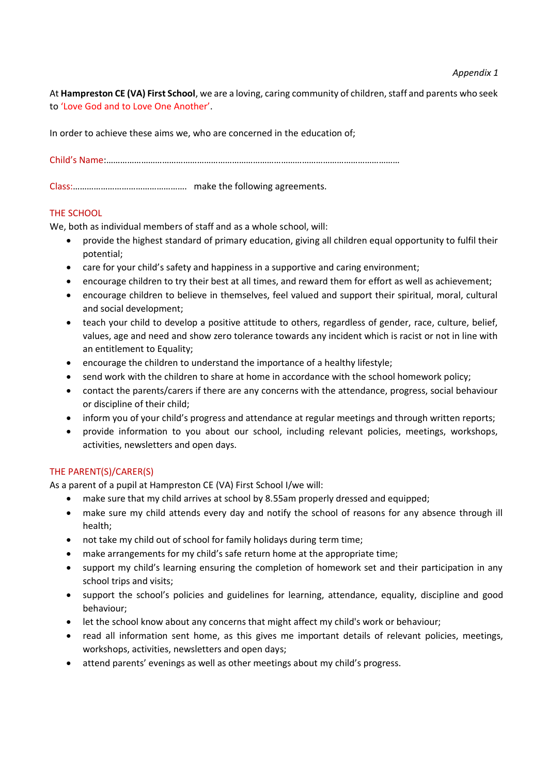At **Hampreston CE (VA) First School**, we are a loving, caring community of children, staff and parents who seek to 'Love God and to Love One Another'.

In order to achieve these aims we, who are concerned in the education of;

Child's Name:………………………………………………………………………………………………………………

Class:…………………………………………. make the following agreements.

# THE SCHOOL

We, both as individual members of staff and as a whole school, will:

- provide the highest standard of primary education, giving all children equal opportunity to fulfil their potential;
- care for your child's safety and happiness in a supportive and caring environment;
- encourage children to try their best at all times, and reward them for effort as well as achievement;
- encourage children to believe in themselves, feel valued and support their spiritual, moral, cultural and social development;
- teach your child to develop a positive attitude to others, regardless of gender, race, culture, belief, values, age and need and show zero tolerance towards any incident which is racist or not in line with an entitlement to Equality;
- encourage the children to understand the importance of a healthy lifestyle;
- send work with the children to share at home in accordance with the school homework policy;
- contact the parents/carers if there are any concerns with the attendance, progress, social behaviour or discipline of their child;
- inform you of your child's progress and attendance at regular meetings and through written reports;
- provide information to you about our school, including relevant policies, meetings, workshops, activities, newsletters and open days.

# THE PARENT(S)/CARER(S)

As a parent of a pupil at Hampreston CE (VA) First School I/we will:

- make sure that my child arrives at school by 8.55am properly dressed and equipped;
- make sure my child attends every day and notify the school of reasons for any absence through ill health;
- not take my child out of school for family holidays during term time;
- make arrangements for my child's safe return home at the appropriate time;
- support my child's learning ensuring the completion of homework set and their participation in any school trips and visits;
- support the school's policies and guidelines for learning, attendance, equality, discipline and good behaviour;
- let the school know about any concerns that might affect my child's work or behaviour;
- read all information sent home, as this gives me important details of relevant policies, meetings, workshops, activities, newsletters and open days;
- attend parents' evenings as well as other meetings about my child's progress.